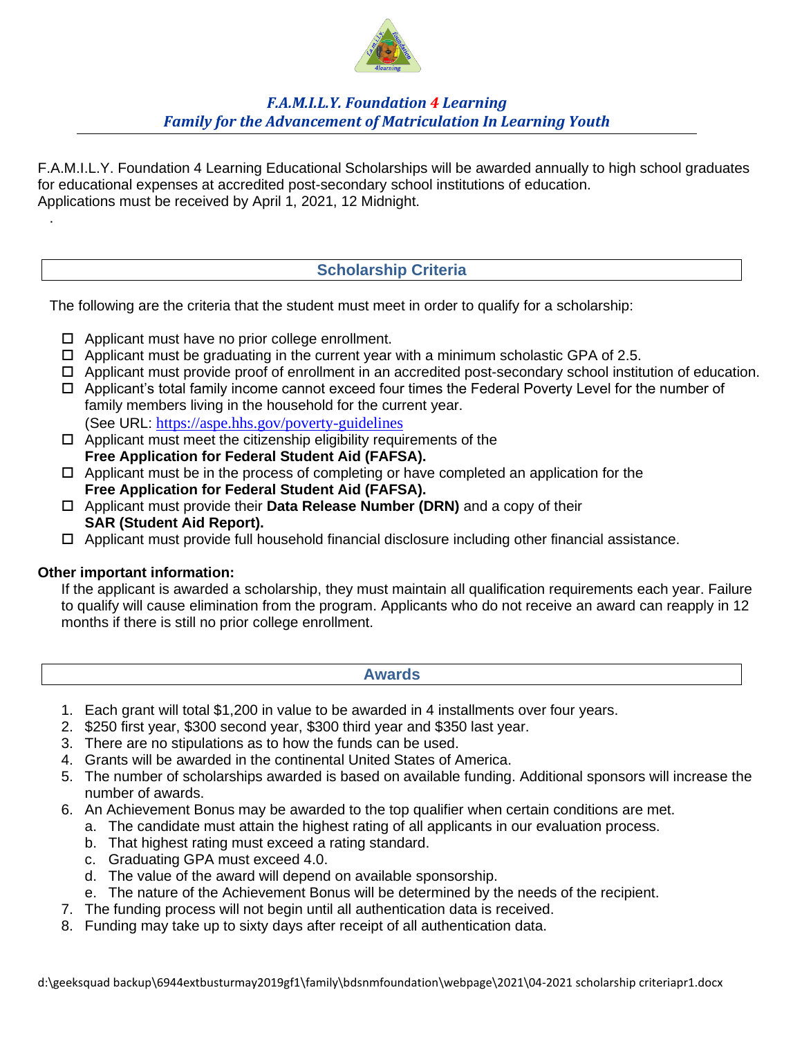

# *F.A.M.I.L.Y. Foundation 4 Learning Family for the Advancement of Matriculation In Learning Youth*

F.A.M.I.L.Y. Foundation 4 Learning Educational Scholarships will be awarded annually to high school graduates for educational expenses at accredited post-secondary school institutions of education. Applications must be received by April 1, 2021, 12 Midnight.

# **Scholarship Criteria**

The following are the criteria that the student must meet in order to qualify for a scholarship:

- $\Box$  Applicant must have no prior college enrollment.
- $\Box$  Applicant must be graduating in the current year with a minimum scholastic GPA of 2.5.
- Applicant must provide proof of enrollment in an accredited post-secondary school institution of education.
- Applicant's total family income cannot exceed four times the Federal Poverty Level for the number of family members living in the household for the current year. (See URL: https://aspe.hhs.gov/poverty-guidelines
- $\Box$  Applicant must meet the citizenship eligibility requirements of the **Free Application for Federal Student Aid (FAFSA).**
- $\Box$  Applicant must be in the process of completing or have completed an application for the **Free Application for Federal Student Aid (FAFSA).**
- Applicant must provide their **Data Release Number (DRN)** and a copy of their **SAR (Student Aid Report).**
- $\Box$  Applicant must provide full household financial disclosure including other financial assistance.

### **Other important information:**

.

If the applicant is awarded a scholarship, they must maintain all qualification requirements each year. Failure to qualify will cause elimination from the program. Applicants who do not receive an award can reapply in 12 months if there is still no prior college enrollment.

#### **Awards**

- 1. Each grant will total \$1,200 in value to be awarded in 4 installments over four years.
- 2. \$250 first year, \$300 second year, \$300 third year and \$350 last year.
- 3. There are no stipulations as to how the funds can be used.
- 4. Grants will be awarded in the continental United States of America.
- 5. The number of scholarships awarded is based on available funding. Additional sponsors will increase the number of awards.
- 6. An Achievement Bonus may be awarded to the top qualifier when certain conditions are met.
	- a. The candidate must attain the highest rating of all applicants in our evaluation process.
	- b. That highest rating must exceed a rating standard.
	- c. Graduating GPA must exceed 4.0.
	- d. The value of the award will depend on available sponsorship.
	- e. The nature of the Achievement Bonus will be determined by the needs of the recipient.
- 7. The funding process will not begin until all authentication data is received.
- 8. Funding may take up to sixty days after receipt of all authentication data.